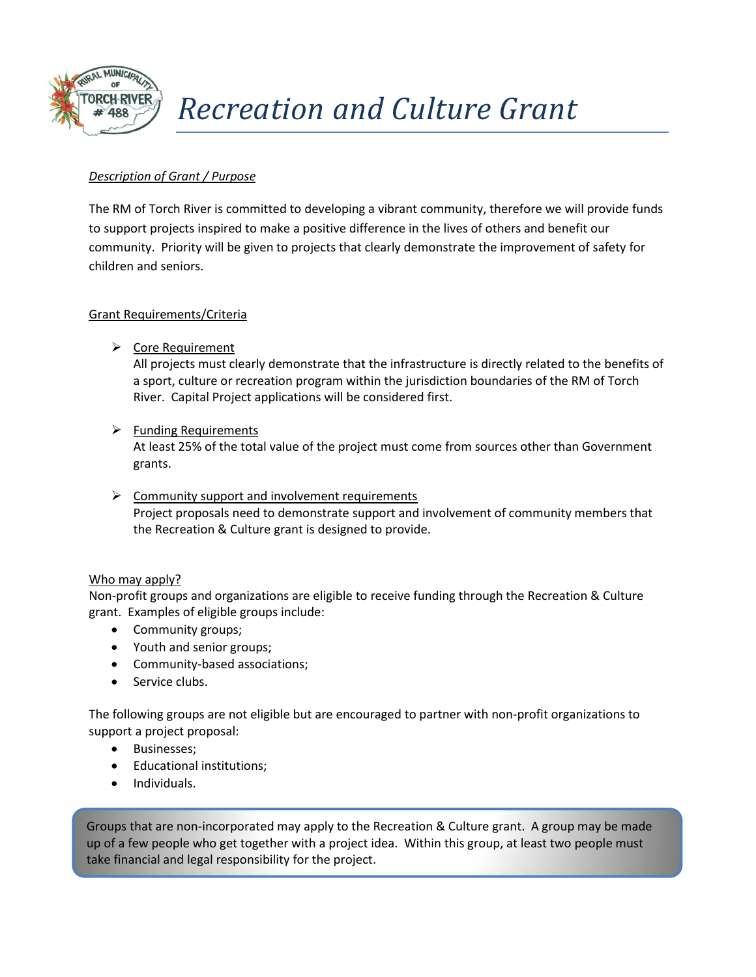

## *Recreation and Culture Grant*

### *Description of Grant / Purpose*

The RM of Torch River is committed to developing a vibrant community, therefore we will provide funds to support projects inspired to make a positive difference in the lives of others and benefit our community. Priority will be given to projects that clearly demonstrate the improvement of safety for children and seniors.

### Grant Requirements/Criteria

**►** Core Requirement

All projects must clearly demonstrate that the infrastructure is directly related to the benefits of a sport, culture or recreation program within the jurisdiction boundaries of the RM of Torch River. Capital Project applications will be considered first.

 $\triangleright$  Funding Requirements

At least 25% of the total value of the project must come from sources other than Government grants.

 $\triangleright$  Community support and involvement requirements Project proposals need to demonstrate support and involvement of community members that the Recreation & Culture grant is designed to provide.

### Who may apply?

Non-profit groups and organizations are eligible to receive funding through the Recreation & Culture grant. Examples of eligible groups include:

- Community groups;
- Youth and senior groups;
- Community-based associations;
- Service clubs.

The following groups are not eligible but are encouraged to partner with non-profit organizations to support a project proposal:

- Businesses:
- Educational institutions;
- Individuals.

 $\mu$  but a few people who get tog take financial and legal responsibility for the project. Groups that are non-incorporated may apply to the Recreation & Culture grant. A group may be made up of a few people who get together with a project idea. Within this group, at least two people must